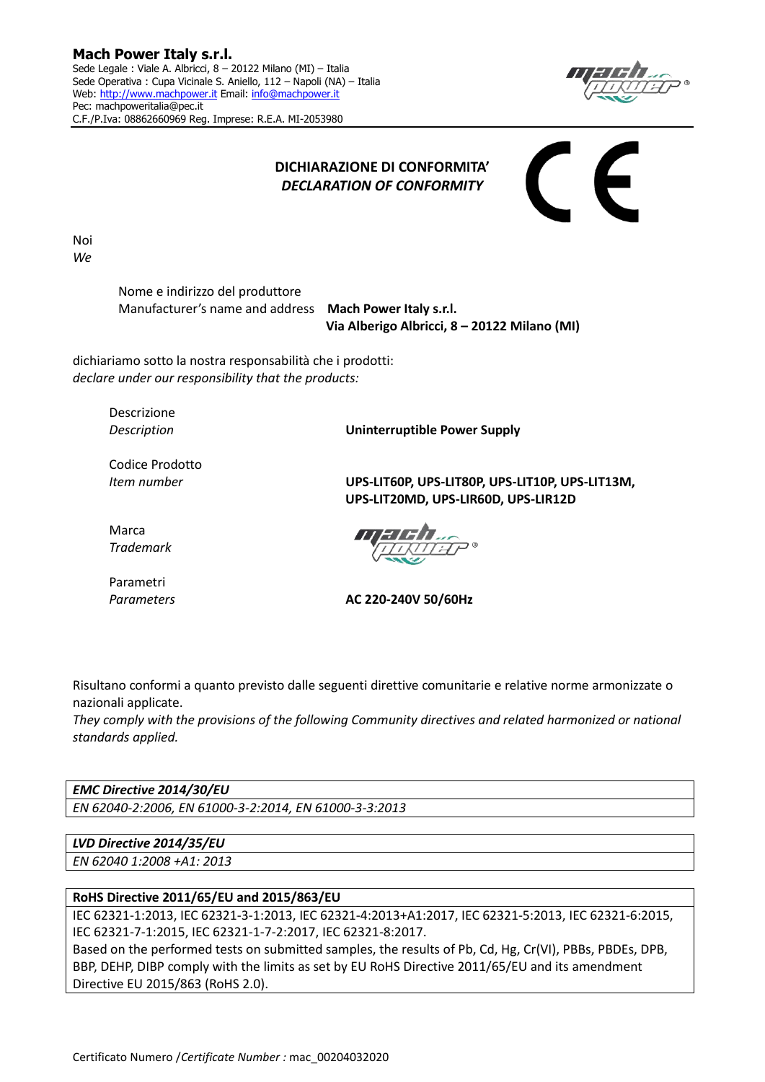

## **DICHIARAZIONE DI CONFORMITA'** *DECLARATION OF CONFORMITY*

Noi *We*

> Nome e indirizzo del produttore Manufacturer's name and address **Mach Power Italy s.r.l.**

 **Via Alberigo Albricci, 8 – 20122 Milano (MI)**

dichiariamo sotto la nostra responsabilità che i prodotti: *declare under our responsibility that the products:*

Descrizione

*Description* **Uninterruptible Power Supply**

Codice Prodotto

*Item number* **UPS-LIT60P, UPS-LIT80P, UPS-LIT10P, UPS-LIT13M, UPS-LIT20MD, UPS-LIR60D, UPS-LIR12D**

Marca *Trademark*

Parametri

*Parameters* **AC 220-240V 50/60Hz**

Risultano conformi a quanto previsto dalle seguenti direttive comunitarie e relative norme armonizzate o nazionali applicate.

*They comply with the provisions of the following Community directives and related harmonized or national standards applied.*

*EMC Directive 2014/30/EU EN 62040-2:2006, EN 61000-3-2:2014, EN 61000-3-3:2013*

*LVD Directive 2014/35/EU*

*EN 62040 1:2008 +A1: 2013*

## **RoHS Directive 2011/65/EU and 2015/863/EU**

IEC 62321-1:2013, IEC 62321-3-1:2013, IEC 62321-4:2013+A1:2017, IEC 62321-5:2013, IEC 62321-6:2015, IEC 62321-7-1:2015, IEC 62321-1-7-2:2017, IEC 62321-8:2017.

Based on the performed tests on submitted samples, the results of Pb, Cd, Hg, Cr(VI), PBBs, PBDEs, DPB, BBP, DEHP, DIBP comply with the limits as set by EU RoHS Directive 2011/65/EU and its amendment Directive EU 2015/863 (RoHS 2.0).